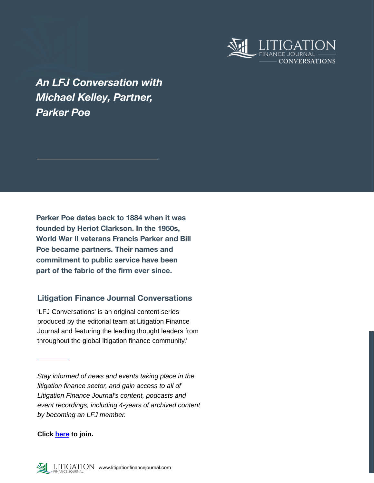

*An LFJ Conversation with Michael Kelley, Partner, Parker Poe*

**Parker Poe dates back to 1884 when it was founded by Heriot Clarkson. In the 1950s, World War II veterans Francis Parker and Bill Poe became partners. Their names and commitment to public service have been part of the fabric of the firm ever since.** 

# **Litigation Finance Journal Conversations**

'LFJ Conversations' is an original content series produced by the editorial team at Litigation Finance Journal and featuring the leading thought leaders from throughout the global litigation finance community.'

*Stay informed of news and events taking place in the litigation finance sector, and gain access to all of Litigation Finance Journal's content, podcasts and event recordings, including 4-years of archived content by becoming an LFJ member.*

**Click [here](https://litigationfinancejournal.com/pricing/) to join.**

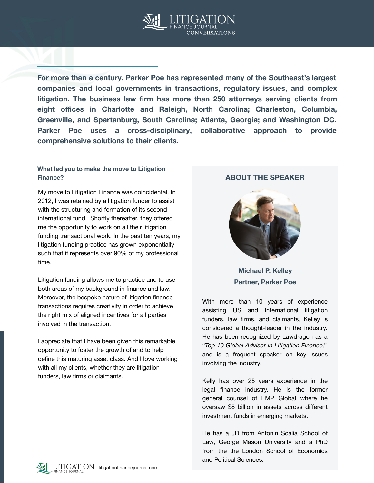

**For more than a century, Parker Poe has represented many of the Southeast's largest companies and local governments in transactions, regulatory issues, and complex litigation. The business law firm has more than 250 attorneys serving clients from eight offices in Charlotte and Raleigh, North Carolina; Charleston, Columbia, Greenville, and Spartanburg, South Carolina; Atlanta, Georgia; and Washington DC. Parker Poe uses a cross-disciplinary, collaborative approach to provide comprehensive solutions to their clients.**

#### **What led you to make the move to Litigation Finance? ABOUT THE SPEAKER**

My move to Litigation Finance was coincidental. In 2012, I was retained by a litigation funder to assist with the structuring and formation of its second international fund. Shortly thereafter, they offered me the opportunity to work on all their litigation funding transactional work. In the past ten years, my litigation funding practice has grown exponentially such that it represents over 90% of my professional time.

Litigation funding allows me to practice and to use both areas of my background in finance and law. Moreover, the bespoke nature of litigation finance transactions requires creativity in order to achieve the right mix of aligned incentives for all parties involved in the transaction.

I appreciate that I have been given this remarkable opportunity to foster the growth of and to help define this maturing asset class. And I love working with all my clients, whether they are litigation funders, law firms or claimants.



**Michael P. Kelley Partner, Parker Poe**

With more than 10 years of experience assisting US and International litigation funders, law firms, and claimants, Kelley is considered a thought-leader in the industry. He has been recognized by Lawdragon as a "*Top 10 Global Advisor in Litigation Finance*," and is a frequent speaker on key issues involving the industry.

Kelly has over 25 years experience in the legal finance industry. He is the former general counsel of EMP Global where he oversaw \$8 billion in assets across different investment funds in emerging markets.

He has a JD from Antonin Scalia School of Law, George Mason University and a PhD from the the London School of Economics and Political Sciences.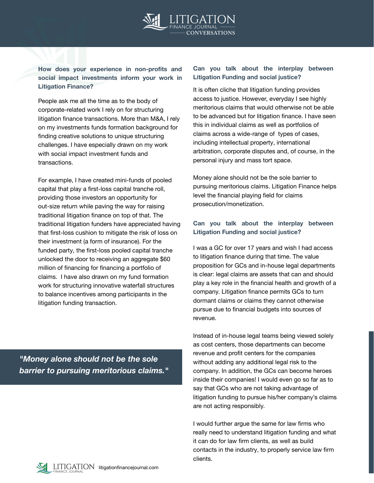

**How does your experience in non-profits and social impact investments inform your work in Litigation Finance?**

People ask me all the time as to the body of corporate-related work I rely on for structuring litigation finance transactions. More than M&A, I rely on my investments funds formation background for finding creative solutions to unique structuring challenges. I have especially drawn on my work with social impact investment funds and transactions.

For example, I have created mini-funds of pooled capital that play a first-loss capital tranche roll, providing those investors an opportunity for out-size return while paving the way for raising traditional litigation finance on top of that. The traditional litigation funders have appreciated having that first-loss cushion to mitigate the risk of loss on their investment (a form of insurance). For the funded party, the first-loss pooled capital tranche unlocked the door to receiving an aggregate \$60 million of financing for financing a portfolio of claims. I have also drawn on my fund formation work for structuring innovative waterfall structures to balance incentives among participants in the litigation funding transaction.

*"Money alone should not be the sole barrier to pursuing meritorious claims."*

#### **Can you talk about the interplay between Litigation Funding and social justice?**

It is often cliche that litigation funding provides access to justice. However, everyday I see highly meritorious claims that would otherwise not be able to be advanced but for litigation finance. I have seen this in individual claims as well as portfolios of claims across a wide-range of types of cases, including intellectual property, international arbitration, corporate disputes and, of course, in the personal injury and mass tort space.

Money alone should not be the sole barrier to pursuing meritorious claims. Litigation Finance helps level the financial playing field for claims prosecution/monetization.

### **Can you talk about the interplay between Litigation Funding and social justice?**

I was a GC for over 17 years and wish I had access to litigation finance during that time. The value proposition for GCs and in-house legal departments is clear: legal claims are assets that can and should play a key role in the financial health and growth of a company. Litigation finance permits GCs to turn dormant claims or claims they cannot otherwise pursue due to financial budgets into sources of revenue.

Instead of in-house legal teams being viewed solely as cost centers, those departments can become revenue and profit centers for the companies without adding any additional legal risk to the company. In addition, the GCs can become heroes inside their companies! I would even go so far as to say that GCs who are not taking advantage of litigation funding to pursue his/her company's claims are not acting responsibly.

I would further argue the same for law firms who really need to understand litigation funding and what it can do for law firm clients, as well as build contacts in the industry, to properly service law firm clients.